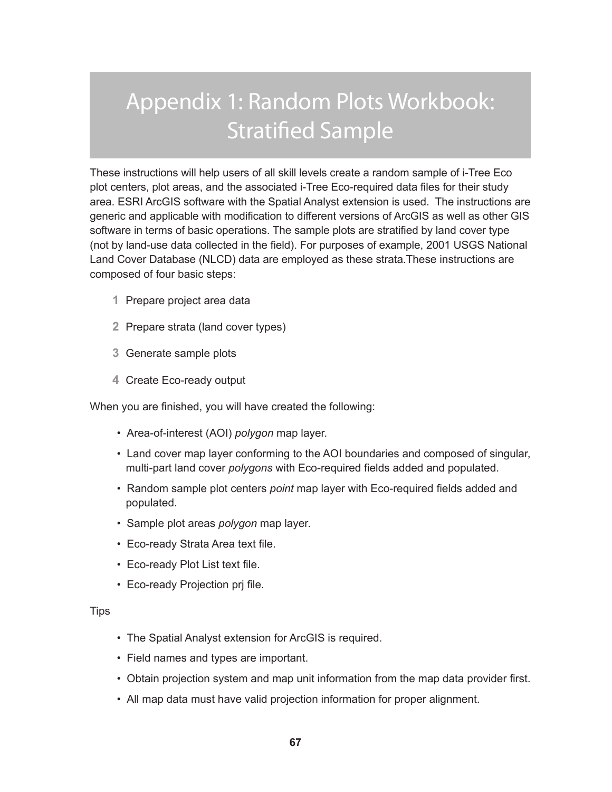# Appendix 1: Random Plots Workbook: Stratified Sample

These instructions will help users of all skill levels create a random sample of i-Tree Eco plot centers, plot areas, and the associated i-Tree Eco-required data files for their study area. ESRI ArcGIS software with the Spatial Analyst extension is used. The instructions are generic and applicable with modification to different versions of ArcGIS as well as other GIS software in terms of basic operations. The sample plots are stratified by land cover type (not by land-use data collected in the field). For purposes of example, 2001 USGS National Land Cover Database (NLCD) data are employed as these strata.These instructions are composed of four basic steps:

- **1** Prepare project area data
- **2** Prepare strata (land cover types)
- **3** Generate sample plots
- **4** Create Eco-ready output

When you are finished, you will have created the following:

- Area-of-interest (AOI) *polygon* map layer.
- Land cover map layer conforming to the AOI boundaries and composed of singular, multi-part land cover *polygons* with Eco-required fields added and populated.
- Random sample plot centers *point* map layer with Eco-required fields added and populated.
- Sample plot areas *polygon* map layer.
- Eco-ready Strata Area text file.
- Eco-ready Plot List text file.
- Eco-ready Projection prj file.

#### **Tips**

- The Spatial Analyst extension for ArcGIS is required.
- Field names and types are important.
- Obtain projection system and map unit information from the map data provider first.
- All map data must have valid projection information for proper alignment.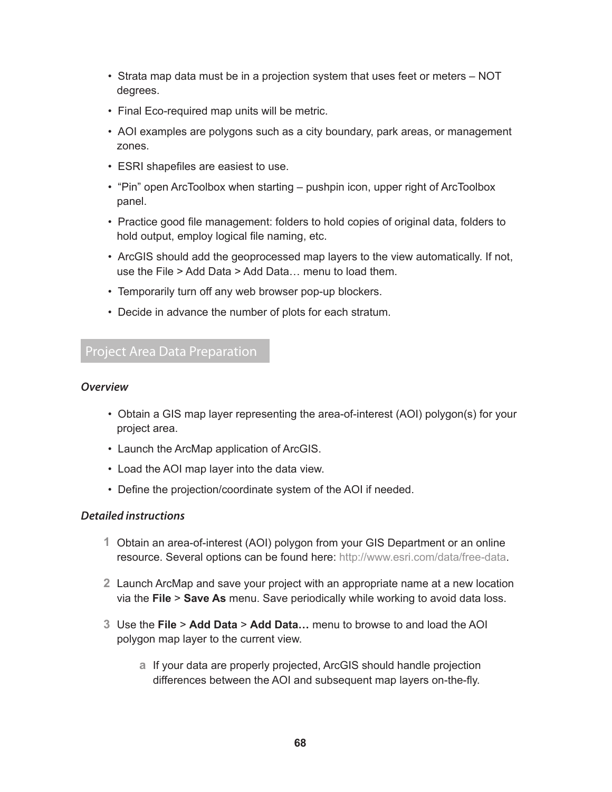- Strata map data must be in a projection system that uses feet or meters NOT degrees.
- Final Eco-required map units will be metric.
- AOI examples are polygons such as a city boundary, park areas, or management zones.
- ESRI shapefiles are easiest to use.
- "Pin" open ArcToolbox when starting pushpin icon, upper right of ArcToolbox panel.
- Practice good file management: folders to hold copies of original data, folders to hold output, employ logical file naming, etc.
- ArcGIS should add the geoprocessed map layers to the view automatically. If not, use the File > Add Data > Add Data… menu to load them.
- Temporarily turn off any web browser pop-up blockers.
- Decide in advance the number of plots for each stratum.

# Project Area Data Preparation

#### *Overview*

- Obtain a GIS map layer representing the area-of-interest (AOI) polygon(s) for your project area.
- Launch the ArcMap application of ArcGIS.
- Load the AOI map layer into the data view.
- Define the projection/coordinate system of the AOI if needed.

#### *Detailed instructions*

- **1** Obtain an area-of-interest (AOI) polygon from your GIS Department or an online resource. Several options can be found here: [http://www.esri.com/data/free-data](http://www.esri.com/data/free-data/index.html).
- **2** Launch ArcMap and save your project with an appropriate name at a new location via the **File** > **Save As** menu. Save periodically while working to avoid data loss.
- **3** Use the **File** > **Add Data** > **Add Data…** menu to browse to and load the AOI polygon map layer to the current view.
	- **a** If your data are properly projected, ArcGIS should handle projection differences between the AOI and subsequent map layers on-the-fly.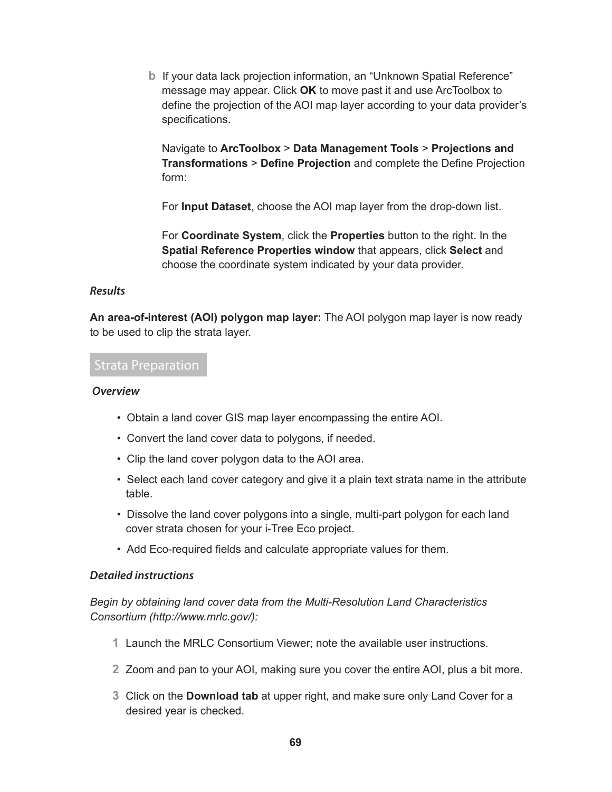**b** If your data lack projection information, an "Unknown Spatial Reference" message may appear. Click **OK** to move past it and use ArcToolbox to define the projection of the AOI map layer according to your data provider's specifications.

Navigate to **ArcToolbox** > **Data Management Tools** > **Projections and Transformations** > **Define Projection** and complete the Define Projection form:

For **Input Dataset**, choose the AOI map layer from the drop-down list.

For **Coordinate System**, click the **Properties** button to the right. In the **Spatial Reference Properties window** that appears, click **Select** and choose the coordinate system indicated by your data provider.

#### *Results*

**An area-of-interest (AOI) polygon map layer:** The AOI polygon map layer is now ready to be used to clip the strata layer.

# Strata Preparation

#### *Overview*

- Obtain a land cover GIS map layer encompassing the entire AOI.
- Convert the land cover data to polygons, if needed.
- Clip the land cover polygon data to the AOI area.
- Select each land cover category and give it a plain text strata name in the attribute table.
- Dissolve the land cover polygons into a single, multi-part polygon for each land cover strata chosen for your i-Tree Eco project.
- Add Eco-required fields and calculate appropriate values for them.

#### *Detailed instructions*

*Begin by obtaining land cover data from the Multi-Resolution Land Characteristics Consortium ([http://www.mrlc.gov/](www.mrlc.gov)):*

- **1** Launch the MRLC Consortium Viewer; note the available user instructions.
- **2** Zoom and pan to your AOI, making sure you cover the entire AOI, plus a bit more.
- **3** Click on the **Download tab** at upper right, and make sure only Land Cover for a desired year is checked.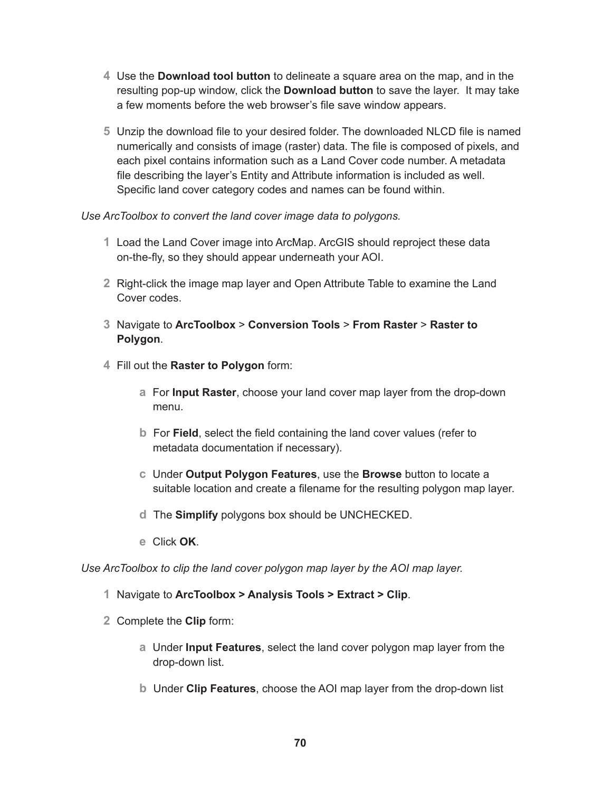- **4** Use the **Download tool button** to delineate a square area on the map, and in the resulting pop-up window, click the **Download button** to save the layer. It may take a few moments before the web browser's file save window appears.
- **5** Unzip the download file to your desired folder. The downloaded NLCD file is named numerically and consists of image (raster) data. The file is composed of pixels, and each pixel contains information such as a Land Cover code number. A metadata file describing the layer's Entity and Attribute information is included as well. Specific land cover category codes and names can be found within.

*Use ArcToolbox to convert the land cover image data to polygons.*

- **1** Load the Land Cover image into ArcMap. ArcGIS should reproject these data on-the-fly, so they should appear underneath your AOI.
- **2** Right-click the image map layer and Open Attribute Table to examine the Land Cover codes.
- **3** Navigate to **ArcToolbox** > **Conversion Tools** > **From Raster** > **Raster to Polygon**.
- **4** Fill out the **Raster to Polygon** form:
	- **a** For **Input Raster**, choose your land cover map layer from the drop-down menu.
	- **b** For **Field**, select the field containing the land cover values (refer to metadata documentation if necessary).
	- **c** Under **Output Polygon Features**, use the **Browse** button to locate a suitable location and create a filename for the resulting polygon map layer.
	- **d** The **Simplify** polygons box should be UNCHECKED.
	- **e** Click **OK**.

*Use ArcToolbox to clip the land cover polygon map layer by the AOI map layer.*

- **1** Navigate to **ArcToolbox > Analysis Tools > Extract > Clip**.
- **2** Complete the **Clip** form:
	- **a** Under **Input Features**, select the land cover polygon map layer from the drop-down list.
	- **b** Under **Clip Features**, choose the AOI map layer from the drop-down list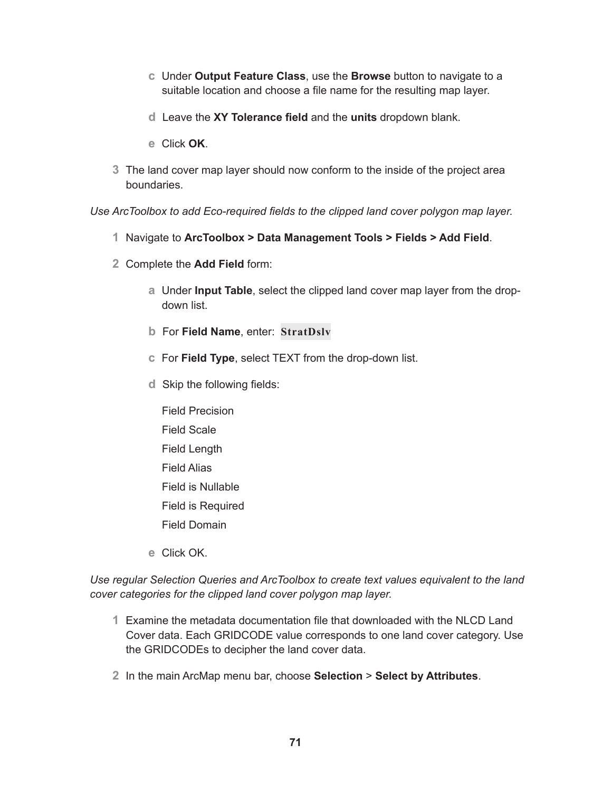- **c** Under **Output Feature Class**, use the **Browse** button to navigate to a suitable location and choose a file name for the resulting map layer.
- **d** Leave the **XY Tolerance field** and the **units** dropdown blank.
- **e** Click **OK**.
- **3** The land cover map layer should now conform to the inside of the project area boundaries.

*Use ArcToolbox to add Eco-required fields to the clipped land cover polygon map layer.*

- **1** Navigate to **ArcToolbox > Data Management Tools > Fields > Add Field**.
- **2** Complete the **Add Field** form:
	- **a** Under **Input Table**, select the clipped land cover map layer from the dropdown list.
	- **b** For **Field Name**, enter: **StratDslv**
	- **c** For **Field Type**, select TEXT from the drop-down list.
	- **d** Skip the following fields:
		- Field Precision Field Scale Field Length Field Alias Field is Nullable Field is Required Field Domain
	- **e** Click OK.

*Use regular Selection Queries and ArcToolbox to create text values equivalent to the land cover categories for the clipped land cover polygon map layer.*

- **1** Examine the metadata documentation file that downloaded with the NLCD Land Cover data. Each GRIDCODE value corresponds to one land cover category. Use the GRIDCODEs to decipher the land cover data.
- **2** In the main ArcMap menu bar, choose **Selection** > **Select by Attributes**.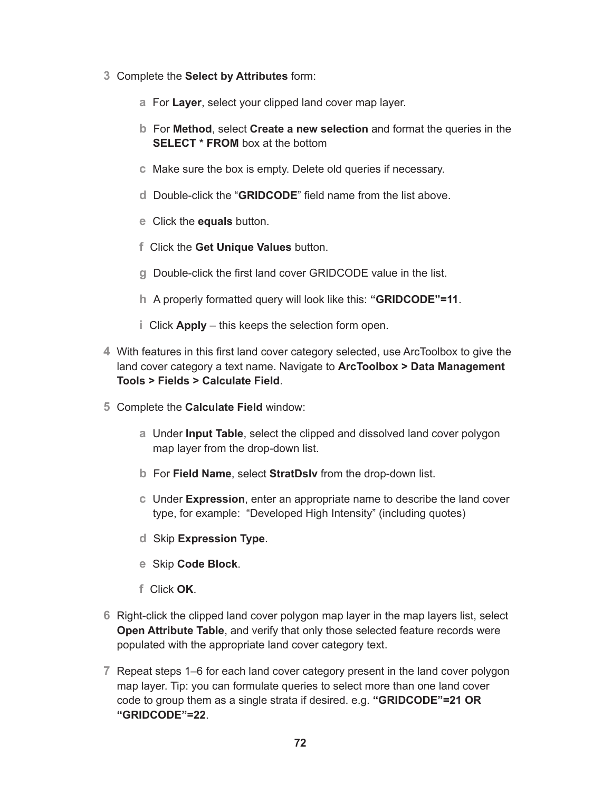- **3** Complete the **Select by Attributes** form:
	- **a** For **Layer**, select your clipped land cover map layer.
	- **b** For **Method**, select **Create a new selection** and format the queries in the **SELECT \* FROM** box at the bottom
	- **c** Make sure the box is empty. Delete old queries if necessary.
	- **d** Double-click the "**GRIDCODE**" field name from the list above.
	- **e** Click the **equals** button.
	- **f** Click the **Get Unique Values** button.
	- **g** Double-click the first land cover GRIDCODE value in the list.
	- **h** A properly formatted query will look like this: **"GRIDCODE"=11**.
	- **i** Click **Apply** this keeps the selection form open.
- **4** With features in this first land cover category selected, use ArcToolbox to give the land cover category a text name. Navigate to **ArcToolbox > Data Management Tools > Fields > Calculate Field**.
- **5** Complete the **Calculate Field** window:
	- **a** Under **Input Table**, select the clipped and dissolved land cover polygon map layer from the drop-down list.
	- **b** For **Field Name**, select **StratDslv** from the drop-down list.
	- **c** Under **Expression**, enter an appropriate name to describe the land cover type, for example: "Developed High Intensity" (including quotes)
	- **d** Skip **Expression Type**.
	- **e** Skip **Code Block**.
	- **f** Click **OK**.
- **6** Right-click the clipped land cover polygon map layer in the map layers list, select **Open Attribute Table**, and verify that only those selected feature records were populated with the appropriate land cover category text.
- **7** Repeat steps 1–6 for each land cover category present in the land cover polygon map layer. Tip: you can formulate queries to select more than one land cover code to group them as a single strata if desired. e.g. **"GRIDCODE"=21 OR "GRIDCODE"=22**.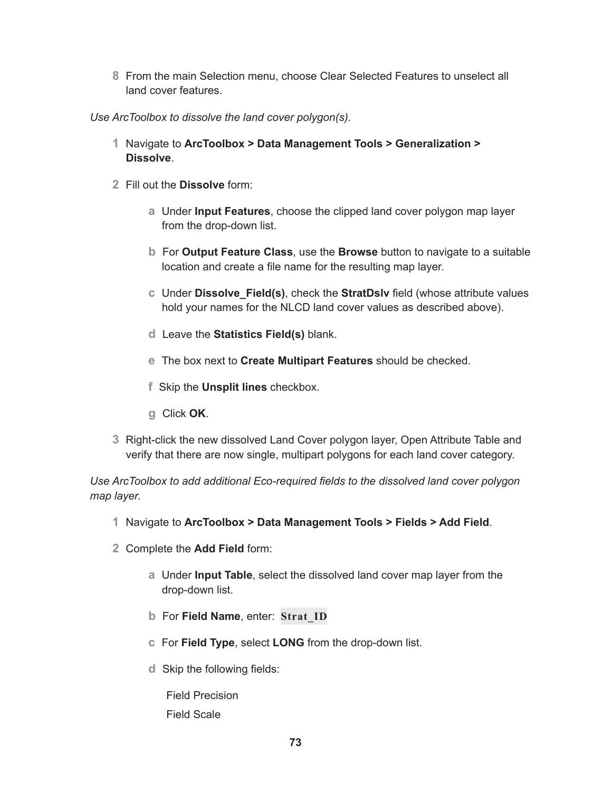**8** From the main Selection menu, choose Clear Selected Features to unselect all land cover features.

*Use ArcToolbox to dissolve the land cover polygon(s).*

- **1** Navigate to **ArcToolbox > Data Management Tools > Generalization > Dissolve**.
- **2** Fill out the **Dissolve** form:
	- **a** Under **Input Features**, choose the clipped land cover polygon map layer from the drop-down list.
	- **b** For **Output Feature Class**, use the **Browse** button to navigate to a suitable location and create a file name for the resulting map layer.
	- **c** Under **Dissolve\_Field(s)**, check the **StratDslv** field (whose attribute values hold your names for the NLCD land cover values as described above).
	- **d** Leave the **Statistics Field(s)** blank.
	- **e** The box next to **Create Multipart Features** should be checked.
	- **f** Skip the **Unsplit lines** checkbox.
	- **g** Click **OK**.
- **3** Right-click the new dissolved Land Cover polygon layer, Open Attribute Table and verify that there are now single, multipart polygons for each land cover category.

*Use ArcToolbox to add additional Eco-required fields to the dissolved land cover polygon map layer.*

- **1** Navigate to **ArcToolbox > Data Management Tools > Fields > Add Field**.
- **2** Complete the **Add Field** form:
	- **a** Under **Input Table**, select the dissolved land cover map layer from the drop-down list.
	- **b** For **Field Name**, enter: **Strat\_ID**
	- **c** For **Field Type**, select **LONG** from the drop-down list.
	- **d** Skip the following fields:

Field Precision Field Scale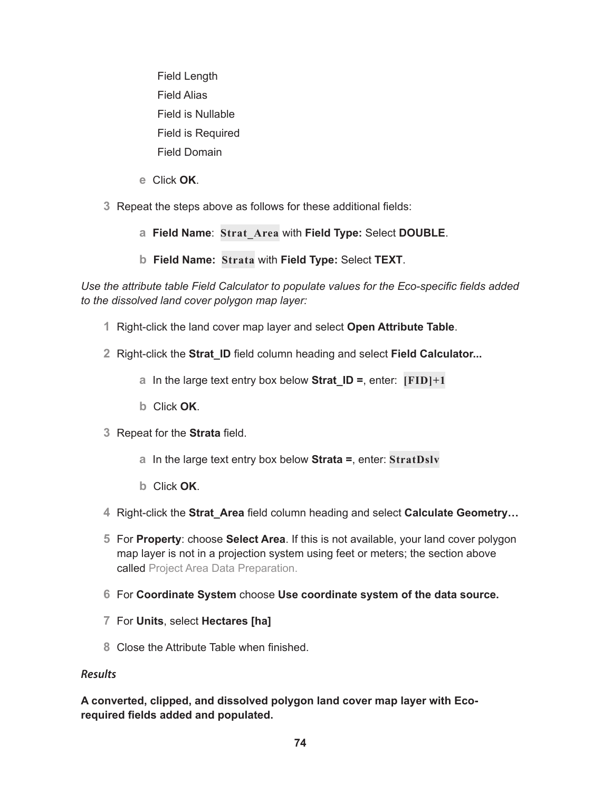Field Length Field Alias Field is Nullable Field is Required Field Domain

- **e** Click **OK**.
- **3** Repeat the steps above as follows for these additional fields:
	- **a Field Name**: **Strat\_Area** with **Field Type:** Select **DOUBLE**.
	- **b Field Name: Strata** with **Field Type:** Select **TEXT**.

*Use the attribute table Field Calculator to populate values for the Eco-specific fields added to the dissolved land cover polygon map layer:*

- **1** Right-click the land cover map layer and select **Open Attribute Table**.
- **2** Right-click the **Strat\_ID** field column heading and select **Field Calculator...**
	- **a** In the large text entry box below **Strat ID =**, enter:  $[FID]+1$
	- **b** Click **OK**.
- **3** Repeat for the **Strata** field.
	- **a** In the large text entry box below **Strata =**, enter: **StratDslv**
	- **b** Click **OK**.
- **4** Right-click the **Strat\_Area** field column heading and select **Calculate Geometry…**
- **5** For **Property**: choose **Select Area**. If this is not available, your land cover polygon map layer is not in a projection system using feet or meters; the section above called Project Area Data Preparation.
- **6** For **Coordinate System** choose **Use coordinate system of the data source.**
- **7** For **Units**, select **Hectares [ha]**
- **8** Close the Attribute Table when finished.

## *Results*

**A converted, clipped, and dissolved polygon land cover map layer with Ecorequired fields added and populated.**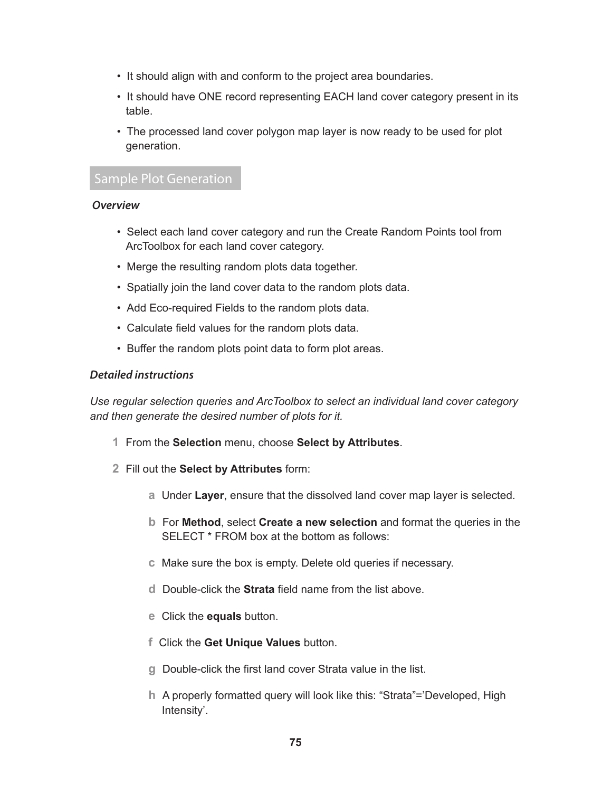- It should align with and conform to the project area boundaries.
- It should have ONE record representing EACH land cover category present in its table.
- The processed land cover polygon map layer is now ready to be used for plot generation.

# Sample Plot Generation

## *Overview*

- Select each land cover category and run the Create Random Points tool from ArcToolbox for each land cover category.
- Merge the resulting random plots data together.
- Spatially join the land cover data to the random plots data.
- Add Eco-required Fields to the random plots data.
- Calculate field values for the random plots data.
- Buffer the random plots point data to form plot areas.

## *Detailed instructions*

*Use regular selection queries and ArcToolbox to select an individual land cover category and then generate the desired number of plots for it.*

- **1** From the **Selection** menu, choose **Select by Attributes**.
- **2** Fill out the **Select by Attributes** form:
	- **a** Under **Layer**, ensure that the dissolved land cover map layer is selected.
	- **b** For **Method**, select **Create a new selection** and format the queries in the SELECT \* FROM box at the bottom as follows:
	- **c** Make sure the box is empty. Delete old queries if necessary.
	- **d** Double-click the **Strata** field name from the list above.
	- **e** Click the **equals** button.
	- **f** Click the **Get Unique Values** button.
	- **g** Double-click the first land cover Strata value in the list.
	- **h** A properly formatted query will look like this: "Strata"='Developed, High Intensity'.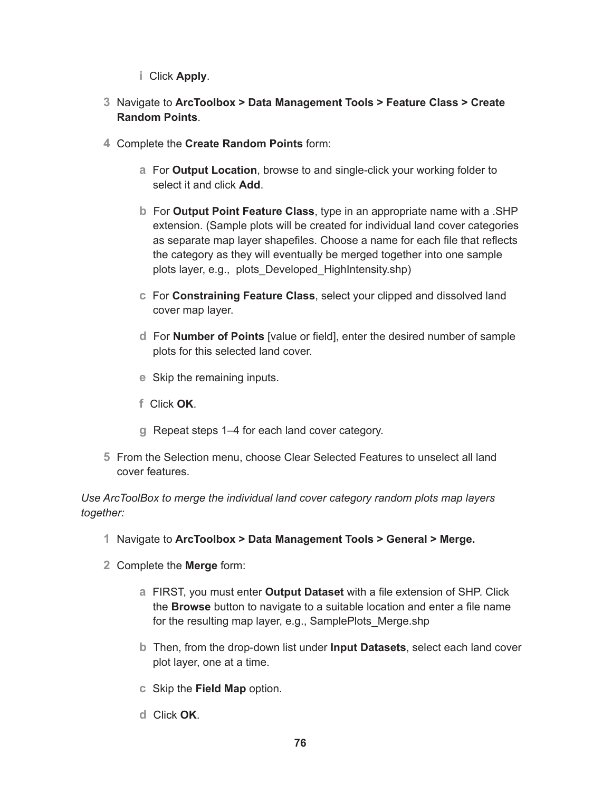- **i** Click **Apply**.
- **3** Navigate to **ArcToolbox > Data Management Tools > Feature Class > Create Random Points**.
- **4** Complete the **Create Random Points** form:
	- **a** For **Output Location**, browse to and single-click your working folder to select it and click **Add**.
	- **b** For **Output Point Feature Class**, type in an appropriate name with a .SHP extension. (Sample plots will be created for individual land cover categories as separate map layer shapefiles. Choose a name for each file that reflects the category as they will eventually be merged together into one sample plots layer, e.g., plots\_Developed\_HighIntensity.shp)
	- **c** For **Constraining Feature Class**, select your clipped and dissolved land cover map layer.
	- **d** For **Number of Points** [value or field], enter the desired number of sample plots for this selected land cover.
	- **e** Skip the remaining inputs.
	- **f** Click **OK**.
	- **g** Repeat steps 1–4 for each land cover category.
- **5** From the Selection menu, choose Clear Selected Features to unselect all land cover features.

*Use ArcToolBox to merge the individual land cover category random plots map layers together:*

- **1** Navigate to **ArcToolbox > Data Management Tools > General > Merge.**
- **2** Complete the **Merge** form:
	- **a** FIRST, you must enter **Output Dataset** with a file extension of SHP. Click the **Browse** button to navigate to a suitable location and enter a file name for the resulting map layer, e.g., SamplePlots Merge.shp
	- **b** Then, from the drop-down list under **Input Datasets**, select each land cover plot layer, one at a time.
	- **c** Skip the **Field Map** option.
	- **d** Click **OK**.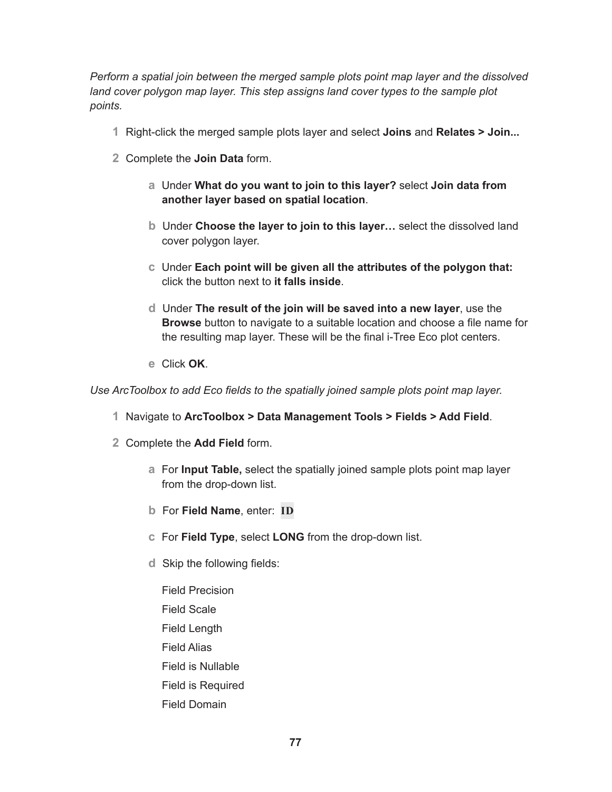*Perform a spatial join between the merged sample plots point map layer and the dissolved*  land cover polygon map layer. This step assigns land cover types to the sample plot *points.*

- **1** Right-click the merged sample plots layer and select **Joins** and **Relates > Join...**
- **2** Complete the **Join Data** form.
	- **a** Under **What do you want to join to this layer?** select **Join data from another layer based on spatial location**.
	- **b** Under **Choose the layer to join to this layer…** select the dissolved land cover polygon layer.
	- **c** Under **Each point will be given all the attributes of the polygon that:** click the button next to **it falls inside**.
	- **d** Under **The result of the join will be saved into a new layer**, use the **Browse** button to navigate to a suitable location and choose a file name for the resulting map layer. These will be the final i-Tree Eco plot centers.
	- **e** Click **OK**.

*Use ArcToolbox to add Eco fields to the spatially joined sample plots point map layer.*

- **1** Navigate to **ArcToolbox > Data Management Tools > Fields > Add Field**.
- **2** Complete the **Add Field** form.
	- **a** For **Input Table,** select the spatially joined sample plots point map layer from the drop-down list.
	- **b** For **Field Name**, enter: **ID**
	- **c** For **Field Type**, select **LONG** from the drop-down list.
	- **d** Skip the following fields:
		- Field Precision Field Scale Field Length Field Alias Field is Nullable Field is Required Field Domain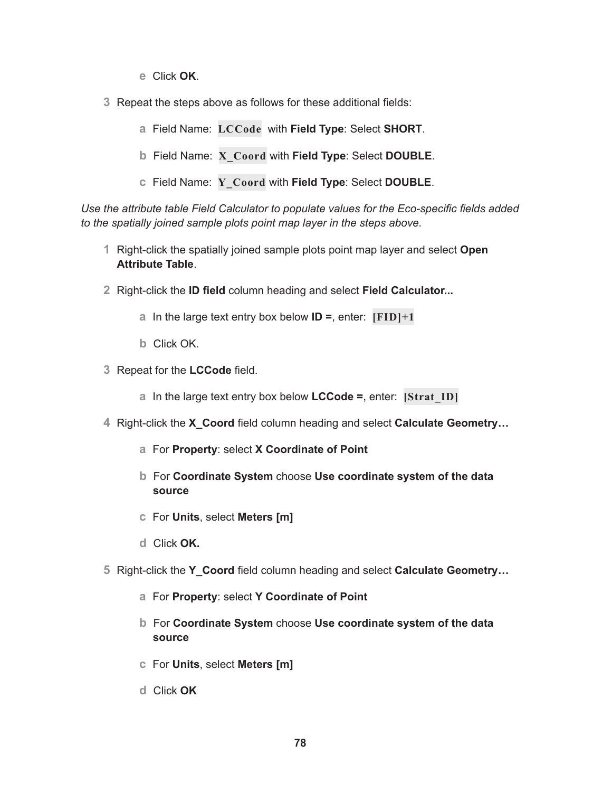- **e** Click **OK**.
- **3** Repeat the steps above as follows for these additional fields:
	- **a** Field Name: **LCCode** with **Field Type**: Select **SHORT**.
	- **b** Field Name: **X\_Coord** with **Field Type**: Select **DOUBLE**.
	- **c** Field Name: **Y\_Coord** with **Field Type**: Select **DOUBLE**.

*Use the attribute table Field Calculator to populate values for the Eco-specific fields added to the spatially joined sample plots point map layer in the steps above.*

- **1** Right-click the spatially joined sample plots point map layer and select **Open Attribute Table**.
- **2** Right-click the **ID field** column heading and select **Field Calculator...**
	- **a** In the large text entry box below **ID =**, enter: **[FID]+1**
	- **b** Click OK.
- **3** Repeat for the **LCCode** field.
	- **a** In the large text entry box below **LCCode =**, enter: **[Strat\_ID]**
- **4** Right-click the **X\_Coord** field column heading and select **Calculate Geometry…**
	- **a** For **Property**: select **X Coordinate of Point**
	- **b** For **Coordinate System** choose **Use coordinate system of the data source**
	- **c** For **Units**, select **Meters [m]**
	- **d** Click **OK.**
- **5** Right-click the **Y\_Coord** field column heading and select **Calculate Geometry…**
	- **a** For **Property**: select **Y Coordinate of Point**
	- **b** For **Coordinate System** choose **Use coordinate system of the data source**
	- **c** For **Units**, select **Meters [m]**
	- **d** Click **OK**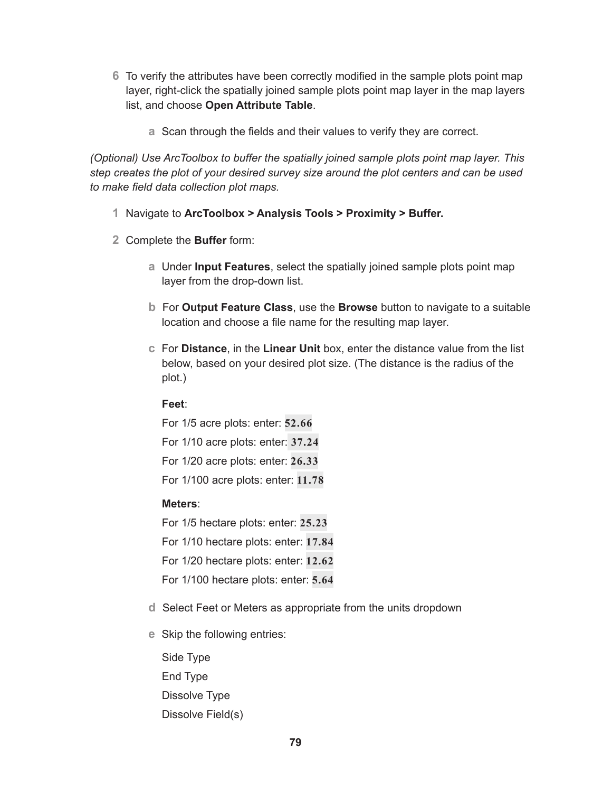- **6** To verify the attributes have been correctly modified in the sample plots point map layer, right-click the spatially joined sample plots point map layer in the map layers list, and choose **Open Attribute Table**.
	- **a** Scan through the fields and their values to verify they are correct.

*(Optional) Use ArcToolbox to buffer the spatially joined sample plots point map layer. This step creates the plot of your desired survey size around the plot centers and can be used to make field data collection plot maps.*

- **1** Navigate to **ArcToolbox > Analysis Tools > Proximity > Buffer.**
- **2** Complete the **Buffer** form:
	- **a** Under **Input Features**, select the spatially joined sample plots point map layer from the drop-down list.
	- **b** For **Output Feature Class**, use the **Browse** button to navigate to a suitable location and choose a file name for the resulting map layer.
	- **c** For **Distance**, in the **Linear Unit** box, enter the distance value from the list below, based on your desired plot size. (The distance is the radius of the plot.)

# **Feet**:

For 1/5 acre plots: enter: **52.66**

For 1/10 acre plots: enter: **37.24**

For 1/20 acre plots: enter: **26.33**

For 1/100 acre plots: enter: **11.78**

# **Meters**:

For 1/5 hectare plots: enter: **25.23**

For 1/10 hectare plots: enter: **17.84**

For 1/20 hectare plots: enter: **12.62**

- For 1/100 hectare plots: enter: **5.64**
- **d** Select Feet or Meters as appropriate from the units dropdown
- **e** Skip the following entries:
	- Side Type End Type Dissolve Type Dissolve Field(s)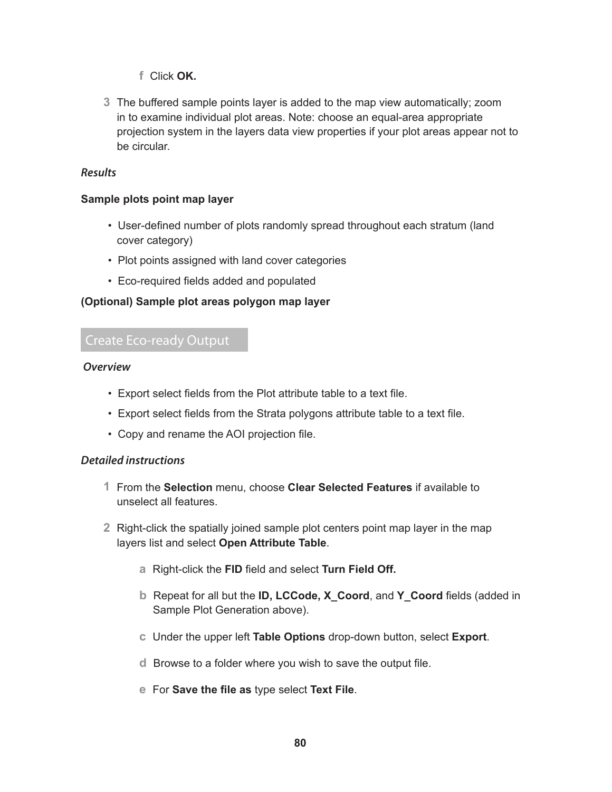- **f** Click **OK.**
- **3** The buffered sample points layer is added to the map view automatically; zoom in to examine individual plot areas. Note: choose an equal-area appropriate projection system in the layers data view properties if your plot areas appear not to be circular.

## *Results*

## **Sample plots point map layer**

- User-defined number of plots randomly spread throughout each stratum (land cover category)
- Plot points assigned with land cover categories
- Eco-required fields added and populated

## **(Optional) Sample plot areas polygon map layer**

# Create Eco-ready Output

## *Overview*

- Export select fields from the Plot attribute table to a text file.
- Export select fields from the Strata polygons attribute table to a text file.
- Copy and rename the AOI projection file.

## *Detailed instructions*

- **1** From the **Selection** menu, choose **Clear Selected Features** if available to unselect all features.
- **2** Right-click the spatially joined sample plot centers point map layer in the map layers list and select **Open Attribute Table**.
	- **a** Right-click the **FID** field and select **Turn Field Off.**
	- **b** Repeat for all but the **ID, LCCode, X\_Coord**, and **Y\_Coord** fields (added in Sample Plot Generation above).
	- **c** Under the upper left **Table Options** drop-down button, select **Export**.
	- **d** Browse to a folder where you wish to save the output file.
	- **e** For **Save the file as** type select **Text File**.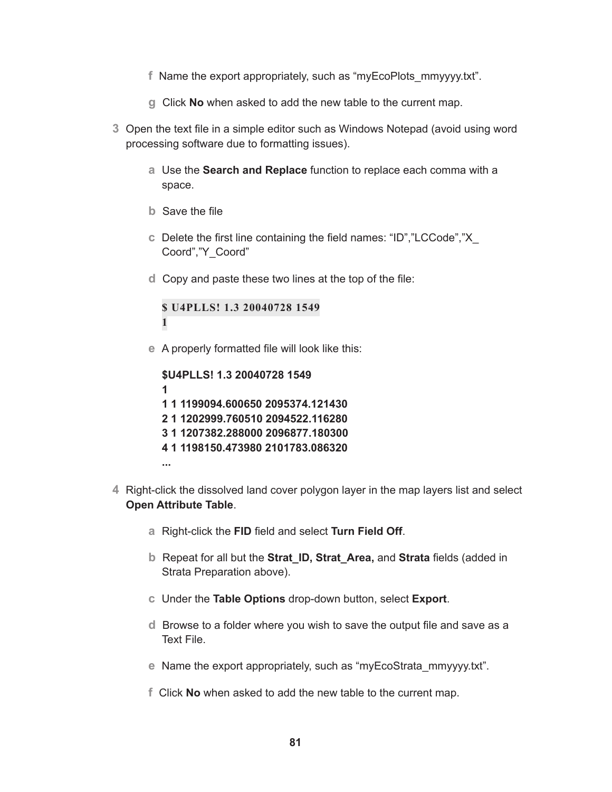- **f** Name the export appropriately, such as "myEcoPlots\_mmyyyy.txt".
- **g** Click **No** when asked to add the new table to the current map.
- **3** Open the text file in a simple editor such as Windows Notepad (avoid using word processing software due to formatting issues).
	- **a** Use the **Search and Replace** function to replace each comma with a space.
	- **b** Save the file
	- **c** Delete the first line containing the field names: "ID","LCCode","X\_ Coord","Y\_Coord"
	- **d** Copy and paste these two lines at the top of the file:

**\$ U4PLLS! 1.3 20040728 1549 1**

**e** A properly formatted file will look like this:

**\$U4PLLS! 1.3 20040728 1549 1 1 1 1199094.600650 2095374.121430 2 1 1202999.760510 2094522.116280 3 1 1207382.288000 2096877.180300 4 1 1198150.473980 2101783.086320 ...**

- **4** Right-click the dissolved land cover polygon layer in the map layers list and select **Open Attribute Table**.
	- **a** Right-click the **FID** field and select **Turn Field Off**.
	- **b** Repeat for all but the **Strat\_ID, Strat\_Area,** and **Strata** fields (added in Strata Preparation above).
	- **c** Under the **Table Options** drop-down button, select **Export**.
	- **d** Browse to a folder where you wish to save the output file and save as a Text File.
	- **e** Name the export appropriately, such as "myEcoStrata\_mmyyyy.txt".
	- **f** Click **No** when asked to add the new table to the current map.